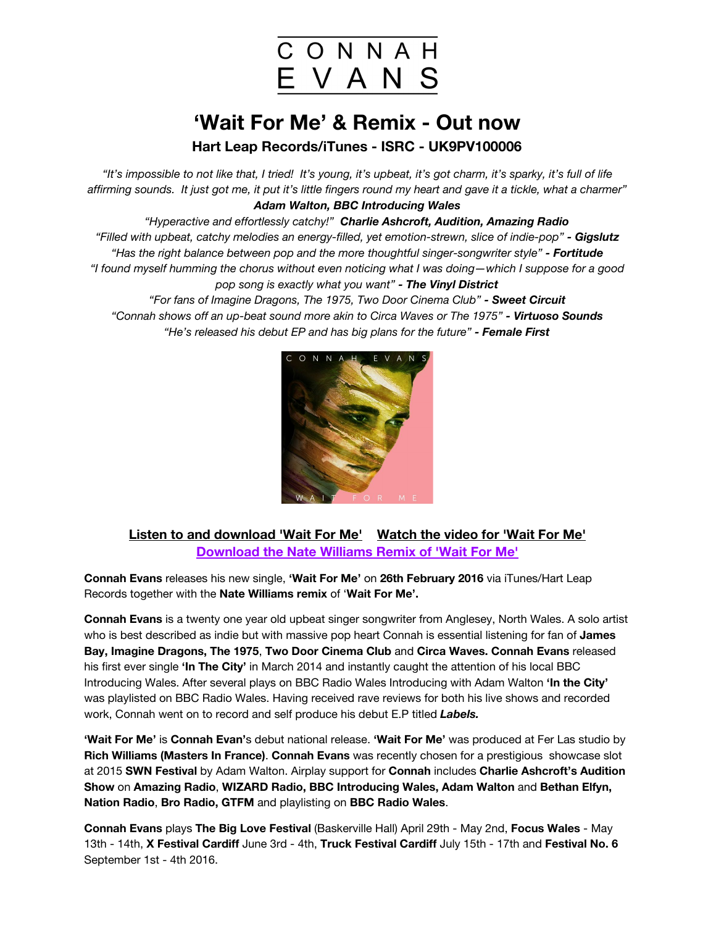

## **'Wait For Me' & Remix - Out now**

**Hart Leap Records/iTunes - ISRC - UK9PV100006**

"It's impossible to not like that, I tried! It's young, it's upbeat, it's got charm, it's sparky, it's full of life affirming sounds. It just got me, it put it's little fingers round my heart and gave it a tickle, what a charmer" *Adam Walton, BBC Introducing Wales*

*"Hyperactive and effortlessly catchy!" Charlie Ashcroft, Audition, Amazing Radio "Filled with upbeat, catchy melodies an energy-filled, yet emotion-strewn, slice of indie-pop" - Gigslutz "Has the right balance between pop and the more thoughtful singer-songwriter style" - Fortitude* "I found myself humming the chorus without even noticing what I was doing—which I suppose for a good *pop song is exactly what you want" - The Vinyl District*

*"For fans of Imagine Dragons, The 1975, Two Door Cinema Club" - Sweet Circuit "Connah shows off an up-beat sound more akin to Circa Waves or The 1975" - Virtuoso Sounds "He's released his debut EP and has big plans for the future" - Female First*



## **Listen to and [download](https://soundcloud.com/thelostagencypr/connah-evans-wait-for-me-26215-mastered-wav/s-jsW2F) 'Wait For Me'[Watch](https://www.youtube.com/watch?v=sXbwuj_nbDA) the video for 'Wait For Me' [Download](https://soundcloud.com/thelostagencypr/connah-evans-wait-for-me-nate-williams-remix-wav-26216/s-vTSzN) the Nate Williams Remix of 'Wait For Me'**

**Connah Evans**releases his new single, **'Wait For Me'**on **26th February 2016** via iTunes/Hart Leap Records together with the **Nate Williams remix** of '**Wait For Me'.**

**Connah Evans** is a twenty one year old upbeat singer songwriter from Anglesey, North Wales. A solo artist who is best described as indie but with massive pop heart Connah is essential listening for fan of **James Bay, Imagine Dragons, The 1975**, **Two Door Cinema Club** and **Circa Waves.Connah Evans** released his first ever single **'In The City'** in March 2014 and instantly caught the attention of his local BBC Introducing Wales. After several plays on BBC Radio Wales Introducing with Adam Walton **'In the City'** was playlisted on BBC Radio Wales. Having received rave reviews for both his live shows and recorded work, Connah went on to record and self produce his debut E.P titled *Labels.*

**'Wait For Me'** is **Connah Evan'**s debut national release. **'Wait For Me'**was produced at Fer Las studio by **Rich Williams (Masters In France)**. **Connah Evans**was recently chosen for a prestigious showcase slot at 2015 **SWN Festival** by Adam Walton. Airplay support for **Connah**includes **Charlie Ashcroft's Audition Show**on **Amazing Radio**, **WIZARD Radio,BBC Introducing Wales, Adam Walton** and **Bethan Elfyn, Nation Radio**, **Bro Radio,GTFM**and playlisting on **BBC Radio Wales**.

**Connah Evans**plays **TheBig Love Festival** (Baskerville Hall) April 29th - May 2nd, **Focus Wales**- May 13th - 14th, **X Festival Cardiff** June 3rd - 4th, **Truck Festival Cardiff**July 15th - 17th and **Festival No. 6** September 1st - 4th 2016.